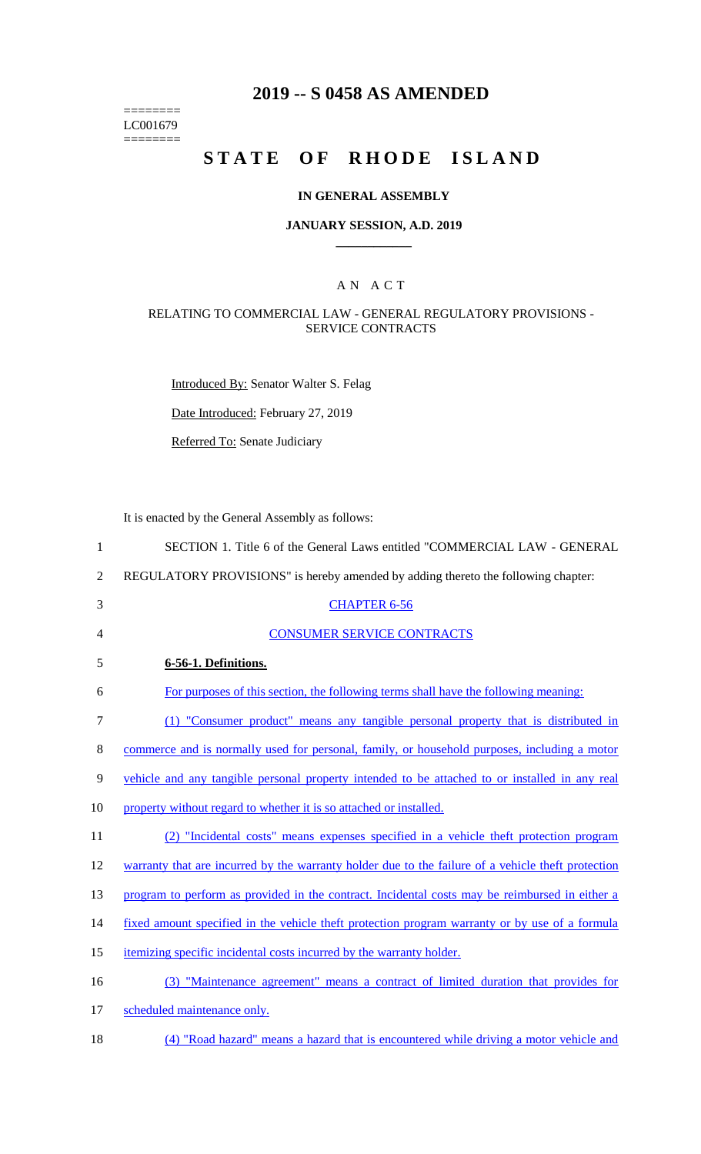======== LC001679  $=$ 

## **2019 -- S 0458 AS AMENDED**

# **STATE OF RHODE ISLAND**

#### **IN GENERAL ASSEMBLY**

#### **JANUARY SESSION, A.D. 2019 \_\_\_\_\_\_\_\_\_\_\_\_**

## A N A C T

## RELATING TO COMMERCIAL LAW - GENERAL REGULATORY PROVISIONS - SERVICE CONTRACTS

Introduced By: Senator Walter S. Felag

Date Introduced: February 27, 2019

Referred To: Senate Judiciary

It is enacted by the General Assembly as follows:

| REGULATORY PROVISIONS" is hereby amended by adding thereto the following chapter:                  |
|----------------------------------------------------------------------------------------------------|
| <b>CHAPTER 6-56</b>                                                                                |
| <b>CONSUMER SERVICE CONTRACTS</b>                                                                  |
| 6-56-1. Definitions.                                                                               |
| For purposes of this section, the following terms shall have the following meaning:                |
| (1) "Consumer product" means any tangible personal property that is distributed in                 |
| commerce and is normally used for personal, family, or household purposes, including a motor       |
| vehicle and any tangible personal property intended to be attached to or installed in any real     |
| property without regard to whether it is so attached or installed.                                 |
| (2) "Incidental costs" means expenses specified in a vehicle theft protection program              |
| warranty that are incurred by the warranty holder due to the failure of a vehicle theft protection |
| program to perform as provided in the contract. Incidental costs may be reimbursed in either a     |
| fixed amount specified in the vehicle theft protection program warranty or by use of a formula     |
| itemizing specific incidental costs incurred by the warranty holder.                               |
| (3) "Maintenance agreement" means a contract of limited duration that provides for                 |
| scheduled maintenance only.                                                                        |
|                                                                                                    |

18 (4) "Road hazard" means a hazard that is encountered while driving a motor vehicle and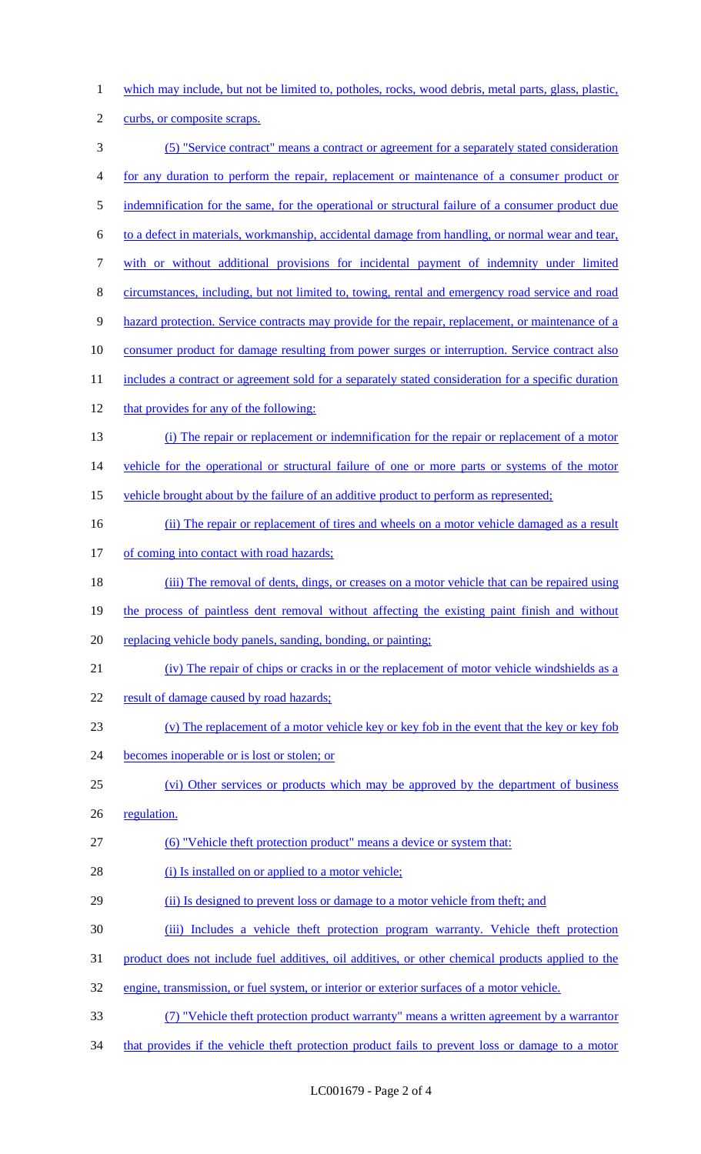- 1 which may include, but not be limited to, potholes, rocks, wood debris, metal parts, glass, plastic,
- 2 curbs, or composite scraps.
- 3 (5) "Service contract" means a contract or agreement for a separately stated consideration 4 for any duration to perform the repair, replacement or maintenance of a consumer product or 5 indemnification for the same, for the operational or structural failure of a consumer product due 6 to a defect in materials, workmanship, accidental damage from handling, or normal wear and tear, 7 with or without additional provisions for incidental payment of indemnity under limited 8 circumstances, including, but not limited to, towing, rental and emergency road service and road 9 hazard protection. Service contracts may provide for the repair, replacement, or maintenance of a 10 consumer product for damage resulting from power surges or interruption. Service contract also 11 includes a contract or agreement sold for a separately stated consideration for a specific duration 12 that provides for any of the following: 13 (i) The repair or replacement or indemnification for the repair or replacement of a motor 14 vehicle for the operational or structural failure of one or more parts or systems of the motor 15 vehicle brought about by the failure of an additive product to perform as represented; 16 (ii) The repair or replacement of tires and wheels on a motor vehicle damaged as a result 17 of coming into contact with road hazards; 18 (iii) The removal of dents, dings, or creases on a motor vehicle that can be repaired using 19 the process of paintless dent removal without affecting the existing paint finish and without 20 replacing vehicle body panels, sanding, bonding, or painting; 21 (iv) The repair of chips or cracks in or the replacement of motor vehicle windshields as a 22 result of damage caused by road hazards; 23 (v) The replacement of a motor vehicle key or key fob in the event that the key or key fob 24 becomes inoperable or is lost or stolen; or 25 (vi) Other services or products which may be approved by the department of business 26 regulation. 27 (6) "Vehicle theft protection product" means a device or system that: 28 (i) Is installed on or applied to a motor vehicle; 29 (ii) Is designed to prevent loss or damage to a motor vehicle from theft; and 30 (iii) Includes a vehicle theft protection program warranty. Vehicle theft protection 31 product does not include fuel additives, oil additives, or other chemical products applied to the 32 engine, transmission, or fuel system, or interior or exterior surfaces of a motor vehicle. 33 (7) "Vehicle theft protection product warranty" means a written agreement by a warrantor 34 that provides if the vehicle theft protection product fails to prevent loss or damage to a motor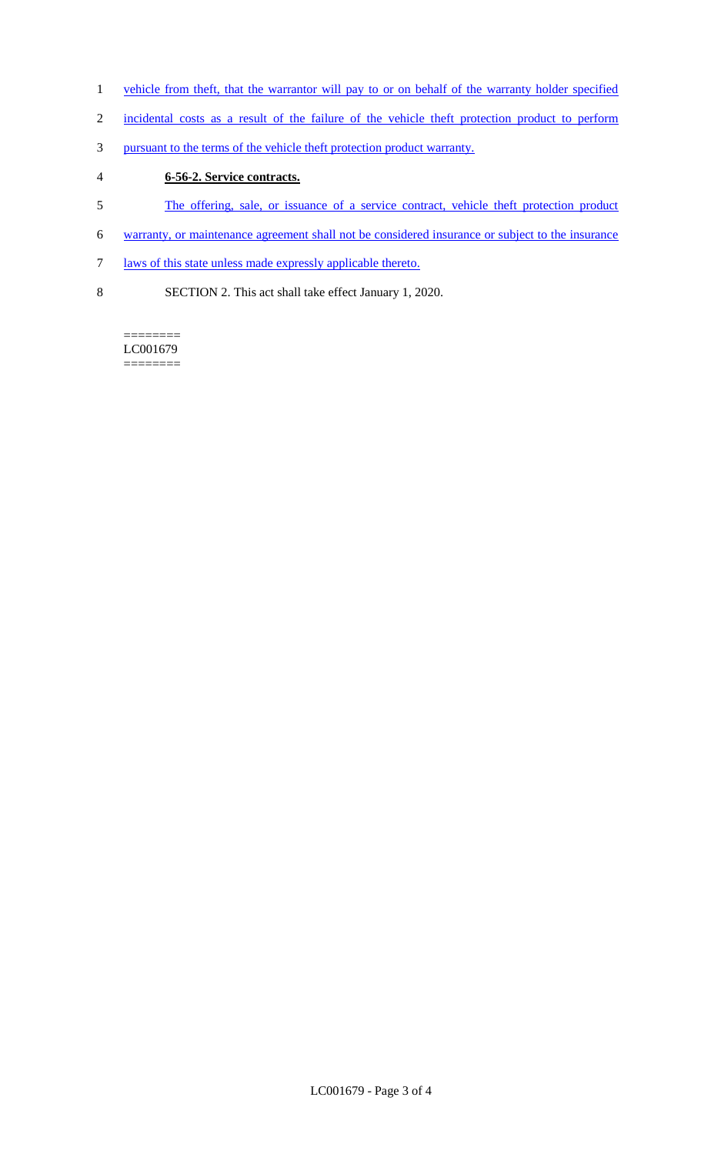- 1 vehicle from theft, that the warrantor will pay to or on behalf of the warranty holder specified
- 2 incidental costs as a result of the failure of the vehicle theft protection product to perform
- 3 pursuant to the terms of the vehicle theft protection product warranty.
- 4 **6-56-2. Service contracts.**
- 5 The offering, sale, or issuance of a service contract, vehicle theft protection product
- 6 warranty, or maintenance agreement shall not be considered insurance or subject to the insurance
- 7 laws of this state unless made expressly applicable thereto.
- 8 SECTION 2. This act shall take effect January 1, 2020.

======== LC001679 ========